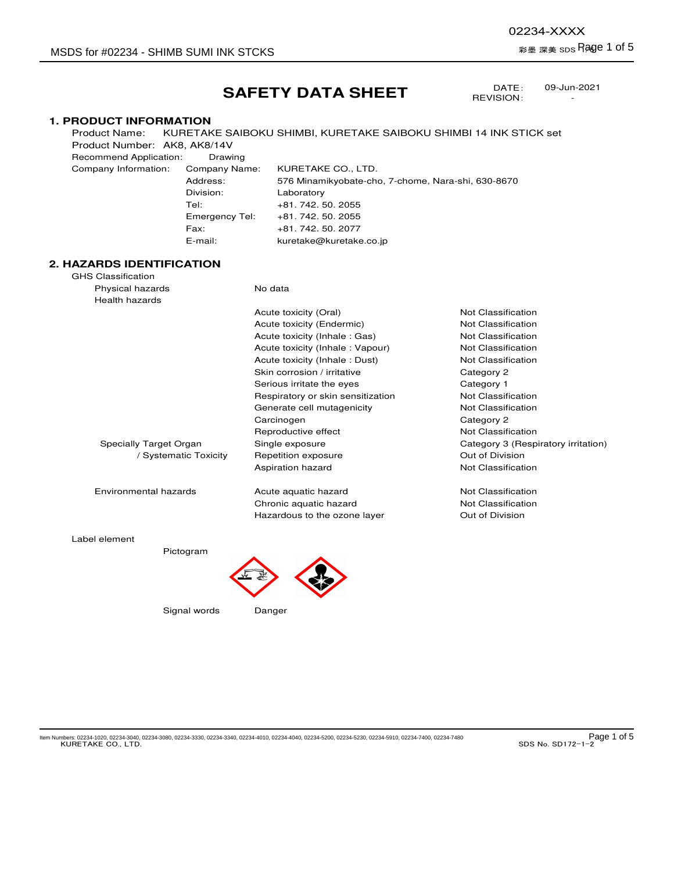-

DATE: REVISION:

## **SAFETY DATA SHEET**

## **1. PRODUCT INFORMATION**

Product Name: KURETAKE SAIBOKU SHIMBI, KURETAKE SAIBOKU SHIMBI 14 INK STICK set Product Number: AK8, AK8/14V Recommend Application: Drawing

Company Information: Company Name: KURETAKE CO., LTD. Address: 576 Minamikyobate-cho, 7-chome, Nara-shi, 630-8670 Division: Laboratory Tel: +81. 742. 50. 2055 Emergency Tel: +81. 742. 50. 2055 Fax: +81. 742. 50. 2077 E-mail: kuretake@kuretake.co.jp

## **2. HAZARDS IDENTIFICATION**

| GHS Classification     |                                   |                                     |
|------------------------|-----------------------------------|-------------------------------------|
| Physical hazards       | No data                           |                                     |
| <b>Health hazards</b>  |                                   |                                     |
|                        | Acute toxicity (Oral)             | Not Classification                  |
|                        | Acute toxicity (Endermic)         | Not Classification                  |
|                        | Acute toxicity (Inhale: Gas)      | Not Classification                  |
|                        | Acute toxicity (Inhale: Vapour)   | Not Classification                  |
|                        | Acute toxicity (Inhale: Dust)     | Not Classification                  |
|                        | Skin corrosion / irritative       | Category 2                          |
|                        | Serious irritate the eyes         | Category 1                          |
|                        | Respiratory or skin sensitization | Not Classification                  |
|                        | Generate cell mutagenicity        | Not Classification                  |
|                        | Carcinogen                        | Category 2                          |
|                        | Reproductive effect               | Not Classification                  |
| Specially Target Organ | Single exposure                   | Category 3 (Respiratory irritation) |
| / Systematic Toxicity  | Repetition exposure               | Out of Division                     |
|                        | Aspiration hazard                 | Not Classification                  |
| Environmental hazards  | Acute aquatic hazard              | Not Classification                  |
|                        | Chronic aquatic hazard            | Not Classification                  |
|                        | Hazardous to the ozone layer      | Out of Division                     |
| Label element          |                                   |                                     |
| Pictogram              |                                   |                                     |

ktem Numbers: 02234-1020, 02234-3040, 02234-3080, 02234-3330, 02234-3340, 02234-4010, 02234-4040, 02234-5230, 02234-5910, 02234-7480 **Page 1 of 5**<br>SDS No. SD172-1-2

Signal words Danger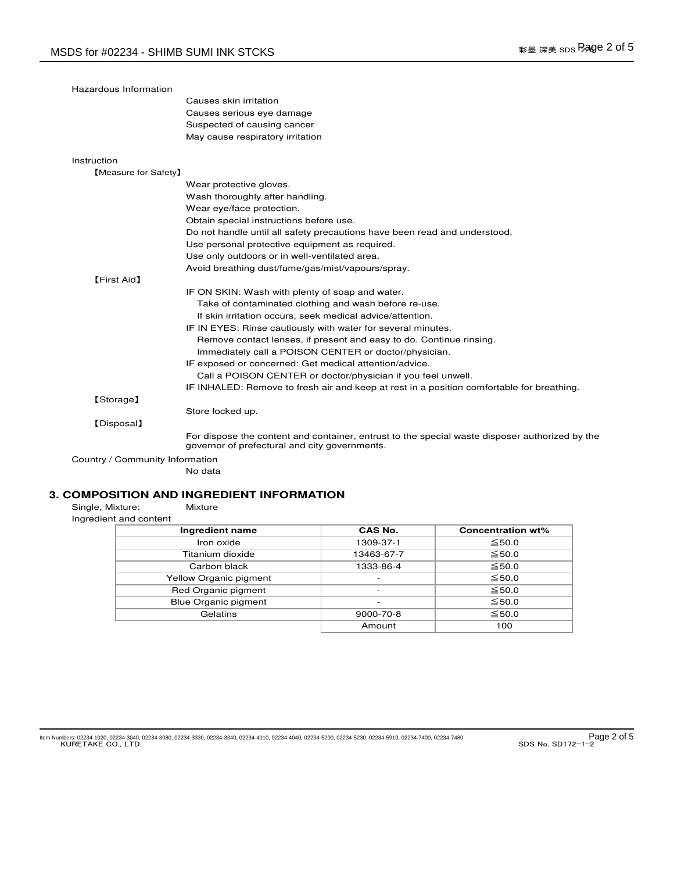| Hazardous Information           |                                                                                                                                                 |
|---------------------------------|-------------------------------------------------------------------------------------------------------------------------------------------------|
|                                 | Causes skin irritation                                                                                                                          |
|                                 | Causes serious eye damage                                                                                                                       |
|                                 | Suspected of causing cancer                                                                                                                     |
|                                 | May cause respiratory irritation                                                                                                                |
| Instruction                     |                                                                                                                                                 |
| [Measure for Safety]            |                                                                                                                                                 |
|                                 | Wear protective gloves.                                                                                                                         |
|                                 | Wash thoroughly after handling.                                                                                                                 |
|                                 | Wear eye/face protection.                                                                                                                       |
|                                 | Obtain special instructions before use.                                                                                                         |
|                                 | Do not handle until all safety precautions have been read and understood.                                                                       |
|                                 | Use personal protective equipment as required.                                                                                                  |
|                                 | Use only outdoors or in well-ventilated area.                                                                                                   |
|                                 | Avoid breathing dust/fume/gas/mist/vapours/spray.                                                                                               |
| <b>[First Aid]</b>              |                                                                                                                                                 |
|                                 | IF ON SKIN: Wash with plenty of soap and water.                                                                                                 |
|                                 | Take of contaminated clothing and wash before re-use.                                                                                           |
|                                 | If skin irritation occurs, seek medical advice/attention.                                                                                       |
|                                 | IF IN EYES: Rinse cautiously with water for several minutes.                                                                                    |
|                                 | Remove contact lenses, if present and easy to do. Continue rinsing.                                                                             |
|                                 | Immediately call a POISON CENTER or doctor/physician.                                                                                           |
|                                 | IF exposed or concerned: Get medical attention/advice.                                                                                          |
|                                 | Call a POISON CENTER or doctor/physician if you feel unwell.                                                                                    |
|                                 | IF INHALED: Remove to fresh air and keep at rest in a position comfortable for breathing.                                                       |
| [Storage]                       |                                                                                                                                                 |
|                                 | Store locked up.                                                                                                                                |
| [Disposal]                      |                                                                                                                                                 |
|                                 | For dispose the content and container, entrust to the special waste disposer authorized by the<br>governor of prefectural and city governments. |
| Country / Community Information |                                                                                                                                                 |
|                                 | No data                                                                                                                                         |

# **3. COMPOSITION AND INGREDIENT INFORMATION**<br>Single, Mixture: Mixture

Single, Mixture:<br>Ingredient and co

| Ingredient and content |  |  |  |  |  |  |
|------------------------|--|--|--|--|--|--|
|------------------------|--|--|--|--|--|--|

| Ingredient name             | CAS No.                  | <b>Concentration wt%</b> |
|-----------------------------|--------------------------|--------------------------|
| Iron oxide                  | 1309-37-1                | $\leq 50.0$              |
| Titanium dioxide            | 13463-67-7               | $\leq 50.0$              |
| Carbon black                | 1333-86-4                | $\leq 50.0$              |
| Yellow Organic pigment      | $\overline{\phantom{a}}$ | $\leq 50.0$              |
| Red Organic pigment         | $\overline{\phantom{0}}$ | $\leq 50.0$              |
| <b>Blue Organic pigment</b> |                          | $\leq 50.0$              |
| Gelatins                    | $9000 - 70 - 8$          | $\leq 50.0$              |
|                             | Amount                   | 100                      |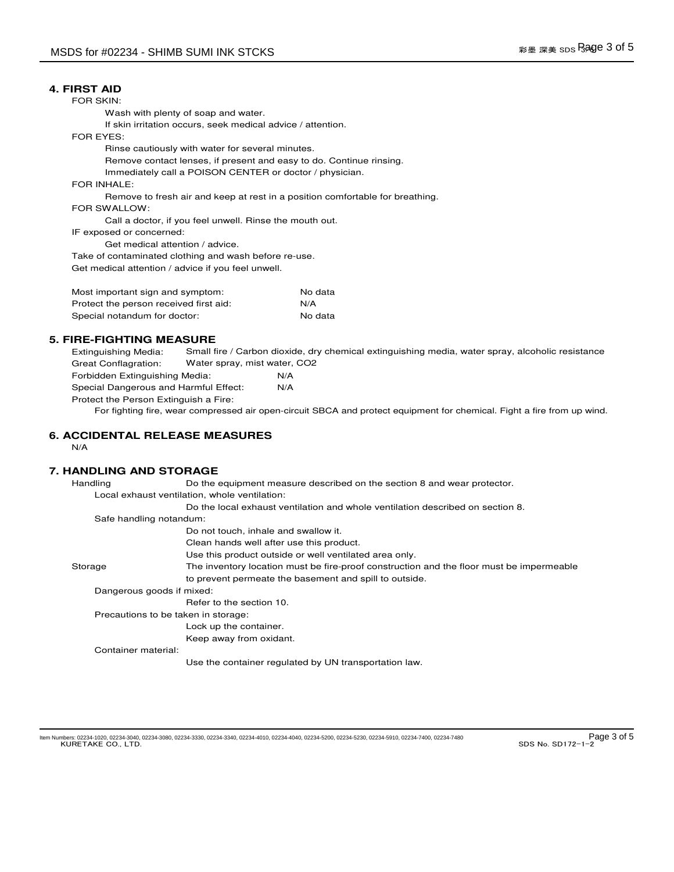#### **4. FIRST AID**

FOR SKIN:

Wash with plenty of soap and water.

If skin irritation occurs, seek medical advice / attention.

FOR EYES:

Rinse cautiously with water for several minutes.

Remove contact lenses, if present and easy to do. Continue rinsing.

Immediately call a POISON CENTER or doctor / physician.

FOR INHALE:

Remove to fresh air and keep at rest in a position comfortable for breathing.

FOR SWALLOW:

Call a doctor, if you feel unwell. Rinse the mouth out.

IF exposed or concerned:

Get medical attention / advice.

Take of contaminated clothing and wash before re-use. Get medical attention / advice if you feel unwell.

| Most important sign and symptom:       | No data |
|----------------------------------------|---------|
| Protect the person received first aid: | N/A     |
| Special notandum for doctor:           | No data |

## **5. FIRE-FIGHTING MEASURE**

Extinguishing Media: Great Conflagration: Forbidden Extinguishing Media: N/A Small fire / Carbon dioxide, dry chemical extinguishing media, water spray, alcoholic resistance Water spray, mist water, CO2

Special Dangerous and Harmful Effect: N/A Protect the Person Extinguish a Fire:

For fighting fire, wear compressed air open-circuit SBCA and protect equipment for chemical. Fight a fire from up wind.

#### **6. ACCIDENTAL RELEASE MEASURES**

N/A

## **7. HANDLING AND STORAGE**

Handling Do the equipment measure described on the section 8 and wear protector. Local exhaust ventilation, whole ventilation: Do the local exhaust ventilation and whole ventilation described on section 8. Safe handling notandum: Do not touch, inhale and swallow it. Clean hands well after use this product. Use this product outside or well ventilated area only. Storage The inventory location must be fire-proof construction and the floor must be impermeable to prevent permeate the basement and spill to outside. Dangerous goods if mixed: Refer to the section 10. Precautions to be taken in storage: Lock up the container. Keep away from oxidant. Container material: Use the container regulated by UN transportation law.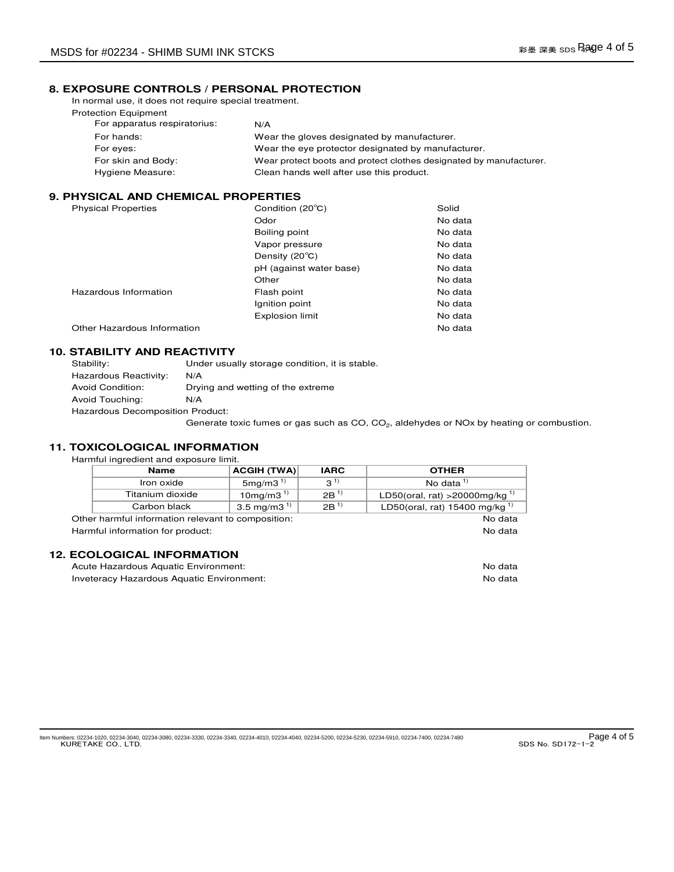## **8. EXPOSURE CONTROLS / PERSONAL PROTECTION**

In normal use, it does not require special treatment. Protection Equipment

| For apparatus respiratorius: | N/A                                                                |
|------------------------------|--------------------------------------------------------------------|
| For hands:                   | Wear the gloves designated by manufacturer.                        |
| For eyes:                    | Wear the eye protector designated by manufacturer.                 |
| For skin and Body:           | Wear protect boots and protect clothes designated by manufacturer. |
| Hygiene Measure:             | Clean hands well after use this product.                           |

## **9. PHYSICAL AND CHEMICAL PROPERTIES**

| <b>Physical Properties</b>  | Condition (20°C)        | Solid   |
|-----------------------------|-------------------------|---------|
|                             | Odor                    | No data |
|                             | Boiling point           | No data |
|                             | Vapor pressure          | No data |
|                             | Density (20°C)          | No data |
|                             | pH (against water base) | No data |
|                             | Other                   | No data |
| Hazardous Information       | Flash point             | No data |
|                             | Ignition point          | No data |
|                             | <b>Explosion limit</b>  | No data |
| Other Hazardous Information |                         | No data |
|                             |                         |         |

## **10. STABILITY AND REACTIVITY**

| Stability:                       | Under usually storage condition, it is stable.                                                                   |
|----------------------------------|------------------------------------------------------------------------------------------------------------------|
| Hazardous Reactivity:            | N/A                                                                                                              |
| Avoid Condition:                 | Drying and wetting of the extreme                                                                                |
| Avoid Touching:                  | N/A                                                                                                              |
| Hazardous Decomposition Product: |                                                                                                                  |
|                                  | Generate toxic fumes or gas such as CO, CO <sub>2</sub> , aldehydes or NO <sub>x</sub> by heating or combustion. |

#### **11. TOXICOLOGICAL INFORMATION**

Harmful ingredient and exposure limit.

|                                                    | <b>Name</b>      | <b>ACGIH (TWA)</b> | <b>IARC</b> | <b>OTHER</b>                               |
|----------------------------------------------------|------------------|--------------------|-------------|--------------------------------------------|
|                                                    | Iron oxide       | 5mg/m3 $^{1}$      | $3^{1}$     | No data $1$                                |
|                                                    | Titanium dioxide | 10 mg/m $3^{1}$    | $2B^{1}$    | LD50(oral, rat) > 20000mg/kg <sup>1)</sup> |
|                                                    | Carbon black     | 3.5 mg/m3 $^{1}$   | $2B^{1}$    | LD50(oral, rat) 15400 mg/kg <sup>1)</sup>  |
| Other harmful information relevant to composition: |                  |                    | No data     |                                            |
| No data<br>Harmful information for product:        |                  |                    |             |                                            |
|                                                    |                  |                    |             |                                            |
| <b>12. ECOLOGICAL INFORMATION</b>                  |                  |                    |             |                                            |

| Acute Hazardous Aquatic Environment:      | No data |
|-------------------------------------------|---------|
| Inveteracy Hazardous Aquatic Environment: | No data |